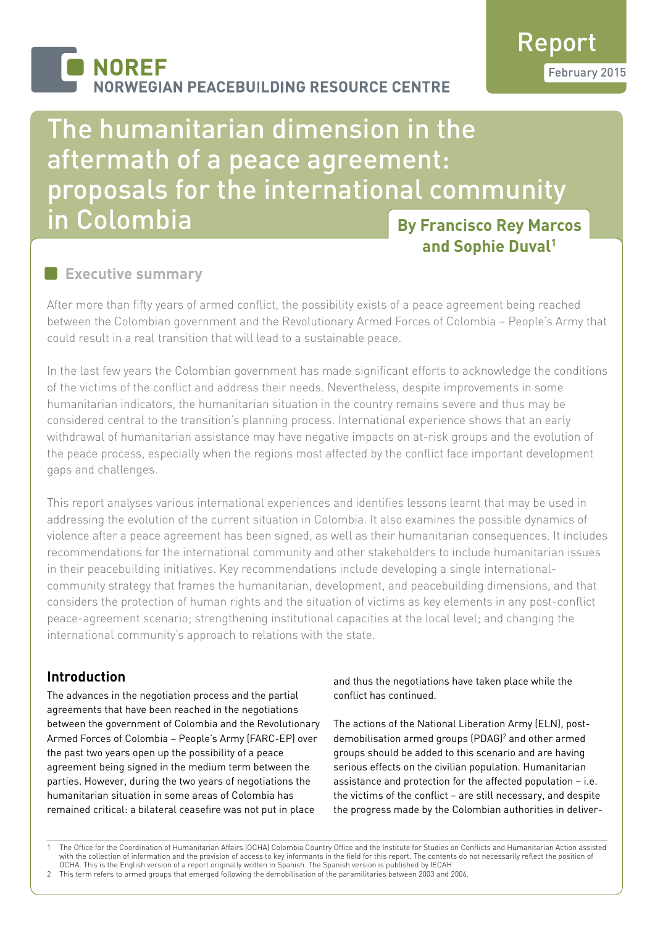# **NOREF JORWEGIAN PEACEBUILDING RESOURCE CENTRE**

Report February 2015

# **By Francisco Rey Marcos and Sophie Duval1** The humanitarian dimension in the aftermath of a peace agreement: proposals for the international community in Colombia

## **Executive summary**

After more than fifty years of armed conflict, the possibility exists of a peace agreement being reached between the Colombian government and the Revolutionary Armed Forces of Colombia – People's Army that could result in a real transition that will lead to a sustainable peace.

In the last few years the Colombian government has made significant efforts to acknowledge the conditions of the victims of the conflict and address their needs. Nevertheless, despite improvements in some humanitarian indicators, the humanitarian situation in the country remains severe and thus may be considered central to the transition's planning process. International experience shows that an early withdrawal of humanitarian assistance may have negative impacts on at-risk groups and the evolution of the peace process, especially when the regions most affected by the conflict face important development gaps and challenges.

This report analyses various international experiences and identifies lessons learnt that may be used in addressing the evolution of the current situation in Colombia. It also examines the possible dynamics of violence after a peace agreement has been signed, as well as their humanitarian consequences. It includes recommendations for the international community and other stakeholders to include humanitarian issues in their peacebuilding initiatives. Key recommendations include developing a single internationalcommunity strategy that frames the humanitarian, development, and peacebuilding dimensions, and that considers the protection of human rights and the situation of victims as key elements in any post-conflict peace-agreement scenario; strengthening institutional capacities at the local level; and changing the international community's approach to relations with the state.

## **Introduction**

The advances in the negotiation process and the partial agreements that have been reached in the negotiations between the government of Colombia and the Revolutionary Armed Forces of Colombia – People's Army (FARC-EP) over the past two years open up the possibility of a peace agreement being signed in the medium term between the parties. However, during the two years of negotiations the humanitarian situation in some areas of Colombia has remained critical: a bilateral ceasefire was not put in place

and thus the negotiations have taken place while the conflict has continued.

The actions of the National Liberation Army (ELN), postdemobilisation armed groups (PDAG)<sup>2</sup> and other armed groups should be added to this scenario and are having serious effects on the civilian population. Humanitarian assistance and protection for the affected population – i.e. the victims of the conflict – are still necessary, and despite the progress made by the Colombian authorities in deliver-

1 The Office for the Coordination of Humanitarian Affairs (OCHA) Colombia Country Office and the Institute for Studies on Conflicts and Humanitarian Action assisted with the collection of information and the provision of access to key informants in the field for this report. The contents do not necessarily reflect the position of OCHA. This is the English version of a report originally written in Spanish. The Spanish version is published by IECAH.

2 This term refers to armed groups that emerged following the demobilisation of the paramilitaries between 2003 and 2006.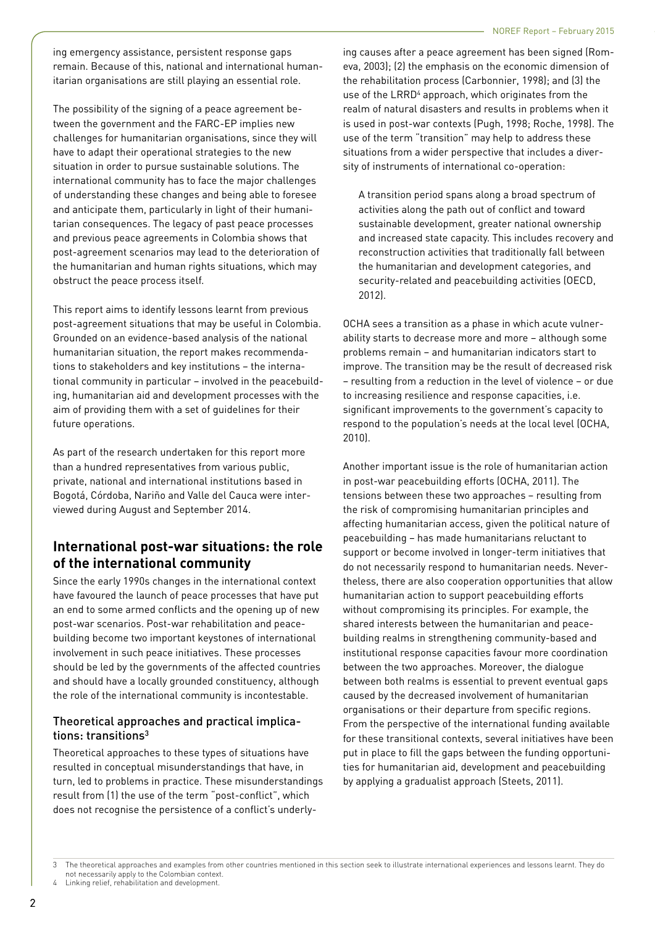ing emergency assistance, persistent response gaps remain. Because of this, national and international humanitarian organisations are still playing an essential role.

The possibility of the signing of a peace agreement between the government and the FARC-EP implies new challenges for humanitarian organisations, since they will have to adapt their operational strategies to the new situation in order to pursue sustainable solutions. The international community has to face the major challenges of understanding these changes and being able to foresee and anticipate them, particularly in light of their humanitarian consequences. The legacy of past peace processes and previous peace agreements in Colombia shows that post-agreement scenarios may lead to the deterioration of the humanitarian and human rights situations, which may obstruct the peace process itself.

This report aims to identify lessons learnt from previous post-agreement situations that may be useful in Colombia. Grounded on an evidence-based analysis of the national humanitarian situation, the report makes recommendations to stakeholders and key institutions – the international community in particular – involved in the peacebuilding, humanitarian aid and development processes with the aim of providing them with a set of guidelines for their future operations.

As part of the research undertaken for this report more than a hundred representatives from various public, private, national and international institutions based in Bogotá, Córdoba, Nariño and Valle del Cauca were interviewed during August and September 2014.

## **International post-war situations: the role of the international community**

Since the early 1990s changes in the international context have favoured the launch of peace processes that have put an end to some armed conflicts and the opening up of new post-war scenarios. Post-war rehabilitation and peacebuilding become two important keystones of international involvement in such peace initiatives. These processes should be led by the governments of the affected countries and should have a locally grounded constituency, although the role of the international community is incontestable.

## Theoretical approaches and practical implications: transitions<sup>3</sup>

Theoretical approaches to these types of situations have resulted in conceptual misunderstandings that have, in turn, led to problems in practice. These misunderstandings result from (1) the use of the term "post-conflict", which does not recognise the persistence of a conflict's underlying causes after a peace agreement has been signed (Romeva, 2003); (2) the emphasis on the economic dimension of the rehabilitation process (Carbonnier, 1998); and (3) the use of the LRRD<sup>4</sup> approach, which originates from the realm of natural disasters and results in problems when it is used in post-war contexts (Pugh, 1998; Roche, 1998). The use of the term "transition" may help to address these situations from a wider perspective that includes a diversity of instruments of international co-operation:

A transition period spans along a broad spectrum of activities along the path out of conflict and toward sustainable development, greater national ownership and increased state capacity. This includes recovery and reconstruction activities that traditionally fall between the humanitarian and development categories, and security-related and peacebuilding activities (OECD, 2012).

OCHA sees a transition as a phase in which acute vulnerability starts to decrease more and more – although some problems remain – and humanitarian indicators start to improve. The transition may be the result of decreased risk – resulting from a reduction in the level of violence – or due to increasing resilience and response capacities, i.e. significant improvements to the government's capacity to respond to the population's needs at the local level (OCHA, 2010).

Another important issue is the role of humanitarian action in post-war peacebuilding efforts (OCHA, 2011). The tensions between these two approaches – resulting from the risk of compromising humanitarian principles and affecting humanitarian access, given the political nature of peacebuilding – has made humanitarians reluctant to support or become involved in longer-term initiatives that do not necessarily respond to humanitarian needs. Nevertheless, there are also cooperation opportunities that allow humanitarian action to support peacebuilding efforts without compromising its principles. For example, the shared interests between the humanitarian and peacebuilding realms in strengthening community-based and institutional response capacities favour more coordination between the two approaches. Moreover, the dialogue between both realms is essential to prevent eventual gaps caused by the decreased involvement of humanitarian organisations or their departure from specific regions. From the perspective of the international funding available for these transitional contexts, several initiatives have been put in place to fill the gaps between the funding opportunities for humanitarian aid, development and peacebuilding by applying a gradualist approach (Steets, 2011).

<sup>3</sup> The theoretical approaches and examples from other countries mentioned in this section seek to illustrate international experiences and lessons learnt. They do not necessarily apply to the Colombian context.

Linking relief, rehabilitation and development.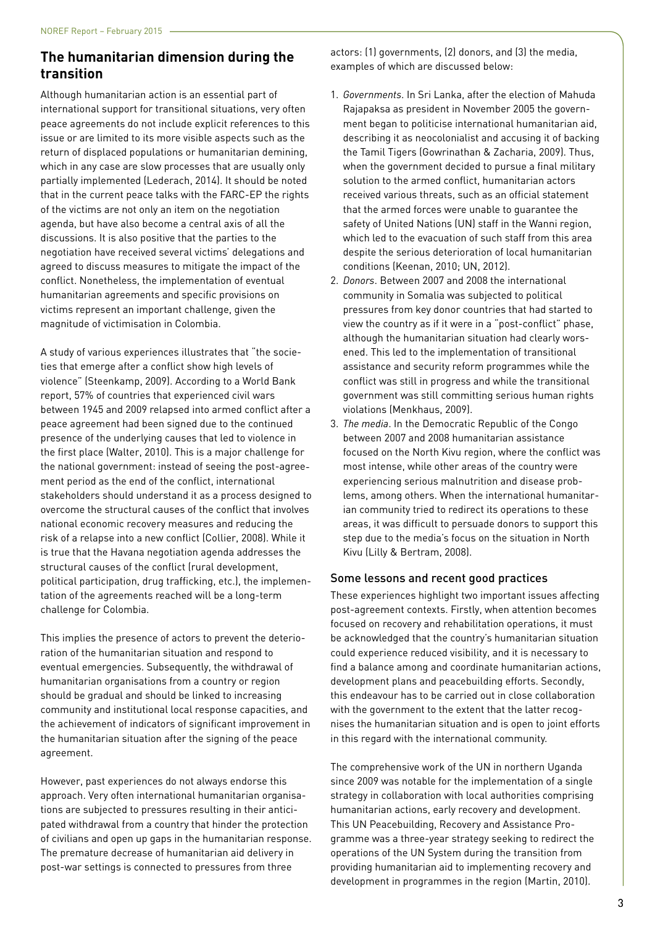## **The humanitarian dimension during the transition**

Although humanitarian action is an essential part of international support for transitional situations, very often peace agreements do not include explicit references to this issue or are limited to its more visible aspects such as the return of displaced populations or humanitarian demining, which in any case are slow processes that are usually only partially implemented (Lederach, 2014). It should be noted that in the current peace talks with the FARC-EP the rights of the victims are not only an item on the negotiation agenda, but have also become a central axis of all the discussions. It is also positive that the parties to the negotiation have received several victims' delegations and agreed to discuss measures to mitigate the impact of the conflict. Nonetheless, the implementation of eventual humanitarian agreements and specific provisions on victims represent an important challenge, given the magnitude of victimisation in Colombia.

A study of various experiences illustrates that "the societies that emerge after a conflict show high levels of violence" (Steenkamp, 2009). According to a World Bank report, 57% of countries that experienced civil wars between 1945 and 2009 relapsed into armed conflict after a peace agreement had been signed due to the continued presence of the underlying causes that led to violence in the first place (Walter, 2010). This is a major challenge for the national government: instead of seeing the post-agreement period as the end of the conflict, international stakeholders should understand it as a process designed to overcome the structural causes of the conflict that involves national economic recovery measures and reducing the risk of a relapse into a new conflict (Collier, 2008). While it is true that the Havana negotiation agenda addresses the structural causes of the conflict (rural development, political participation, drug trafficking, etc.), the implementation of the agreements reached will be a long-term challenge for Colombia.

This implies the presence of actors to prevent the deterioration of the humanitarian situation and respond to eventual emergencies. Subsequently, the withdrawal of humanitarian organisations from a country or region should be gradual and should be linked to increasing community and institutional local response capacities, and the achievement of indicators of significant improvement in the humanitarian situation after the signing of the peace agreement.

However, past experiences do not always endorse this approach. Very often international humanitarian organisations are subjected to pressures resulting in their anticipated withdrawal from a country that hinder the protection of civilians and open up gaps in the humanitarian response. The premature decrease of humanitarian aid delivery in post-war settings is connected to pressures from three

actors: (1) governments, (2) donors, and (3) the media, examples of which are discussed below:

- 1. *Governments*. In Sri Lanka, after the election of Mahuda Rajapaksa as president in November 2005 the government began to politicise international humanitarian aid, describing it as neocolonialist and accusing it of backing the Tamil Tigers (Gowrinathan & Zacharia, 2009). Thus, when the government decided to pursue a final military solution to the armed conflict, humanitarian actors received various threats, such as an official statement that the armed forces were unable to guarantee the safety of United Nations (UN) staff in the Wanni region, which led to the evacuation of such staff from this area despite the serious deterioration of local humanitarian conditions (Keenan, 2010; UN, 2012).
- 2. *Donors*. Between 2007 and 2008 the international community in Somalia was subjected to political pressures from key donor countries that had started to view the country as if it were in a "post-conflict" phase, although the humanitarian situation had clearly worsened. This led to the implementation of transitional assistance and security reform programmes while the conflict was still in progress and while the transitional government was still committing serious human rights violations (Menkhaus, 2009).
- 3. *The media*. In the Democratic Republic of the Congo between 2007 and 2008 humanitarian assistance focused on the North Kivu region, where the conflict was most intense, while other areas of the country were experiencing serious malnutrition and disease problems, among others. When the international humanitarian community tried to redirect its operations to these areas, it was difficult to persuade donors to support this step due to the media's focus on the situation in North Kivu (Lilly & Bertram, 2008).

### Some lessons and recent good practices

These experiences highlight two important issues affecting post-agreement contexts. Firstly, when attention becomes focused on recovery and rehabilitation operations, it must be acknowledged that the country's humanitarian situation could experience reduced visibility, and it is necessary to find a balance among and coordinate humanitarian actions, development plans and peacebuilding efforts. Secondly, this endeavour has to be carried out in close collaboration with the government to the extent that the latter recognises the humanitarian situation and is open to joint efforts in this regard with the international community.

The comprehensive work of the UN in northern Uganda since 2009 was notable for the implementation of a single strategy in collaboration with local authorities comprising humanitarian actions, early recovery and development. This UN Peacebuilding, Recovery and Assistance Programme was a three-year strategy seeking to redirect the operations of the UN System during the transition from providing humanitarian aid to implementing recovery and development in programmes in the region (Martin, 2010).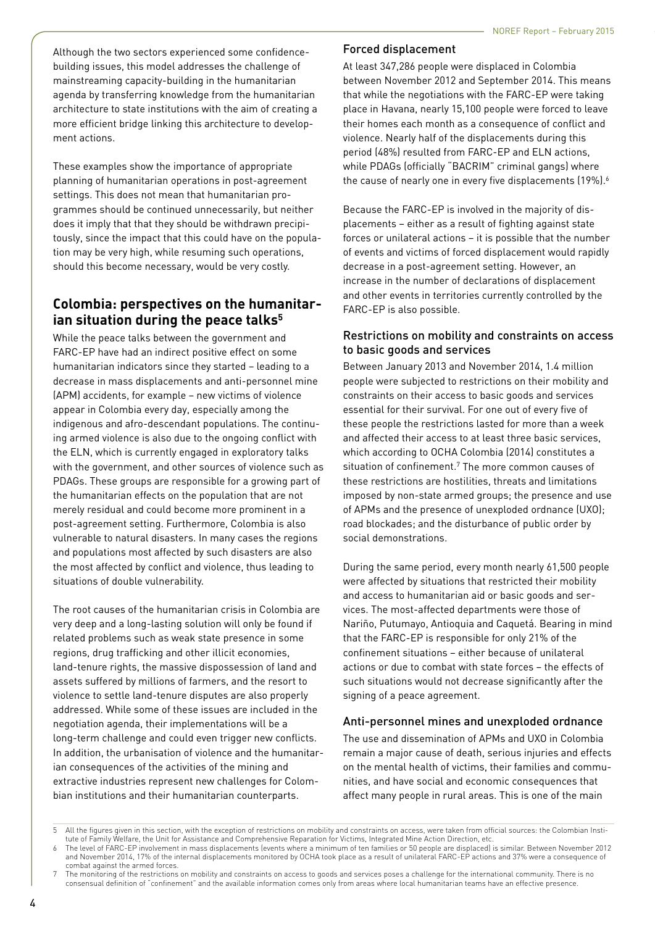Although the two sectors experienced some confidencebuilding issues, this model addresses the challenge of mainstreaming capacity-building in the humanitarian agenda by transferring knowledge from the humanitarian architecture to state institutions with the aim of creating a more efficient bridge linking this architecture to development actions.

These examples show the importance of appropriate planning of humanitarian operations in post-agreement settings. This does not mean that humanitarian programmes should be continued unnecessarily, but neither does it imply that that they should be withdrawn precipitously, since the impact that this could have on the population may be very high, while resuming such operations, should this become necessary, would be very costly.

## **Colombia: perspectives on the humanitarian situation during the peace talks5**

While the peace talks between the government and FARC-EP have had an indirect positive effect on some humanitarian indicators since they started – leading to a decrease in mass displacements and anti-personnel mine (APM) accidents, for example – new victims of violence appear in Colombia every day, especially among the indigenous and afro-descendant populations. The continuing armed violence is also due to the ongoing conflict with the ELN, which is currently engaged in exploratory talks with the government, and other sources of violence such as PDAGs. These groups are responsible for a growing part of the humanitarian effects on the population that are not merely residual and could become more prominent in a post-agreement setting. Furthermore, Colombia is also vulnerable to natural disasters. In many cases the regions and populations most affected by such disasters are also the most affected by conflict and violence, thus leading to situations of double vulnerability.

The root causes of the humanitarian crisis in Colombia are very deep and a long-lasting solution will only be found if related problems such as weak state presence in some regions, drug trafficking and other illicit economies, land-tenure rights, the massive dispossession of land and assets suffered by millions of farmers, and the resort to violence to settle land-tenure disputes are also properly addressed. While some of these issues are included in the negotiation agenda, their implementations will be a long-term challenge and could even trigger new conflicts. In addition, the urbanisation of violence and the humanitarian consequences of the activities of the mining and extractive industries represent new challenges for Colombian institutions and their humanitarian counterparts.

### Forced displacement

At least 347,286 people were displaced in Colombia between November 2012 and September 2014. This means that while the negotiations with the FARC-EP were taking place in Havana, nearly 15,100 people were forced to leave their homes each month as a consequence of conflict and violence. Nearly half of the displacements during this period (48%) resulted from FARC-EP and ELN actions, while PDAGs (officially "BACRIM" criminal gangs) where the cause of nearly one in every five displacements (19%).<sup>6</sup>

Because the FARC-EP is involved in the majority of displacements – either as a result of fighting against state forces or unilateral actions – it is possible that the number of events and victims of forced displacement would rapidly decrease in a post-agreement setting. However, an increase in the number of declarations of displacement and other events in territories currently controlled by the FARC-EP is also possible.

## Restrictions on mobility and constraints on access to basic goods and services

Between January 2013 and November 2014, 1.4 million people were subjected to restrictions on their mobility and constraints on their access to basic goods and services essential for their survival. For one out of every five of these people the restrictions lasted for more than a week and affected their access to at least three basic services, which according to OCHA Colombia (2014) constitutes a situation of confinement.<sup>7</sup> The more common causes of these restrictions are hostilities, threats and limitations imposed by non-state armed groups; the presence and use of APMs and the presence of unexploded ordnance (UXO); road blockades; and the disturbance of public order by social demonstrations.

During the same period, every month nearly 61,500 people were affected by situations that restricted their mobility and access to humanitarian aid or basic goods and services. The most-affected departments were those of Nariño, Putumayo, Antioquia and Caquetá. Bearing in mind that the FARC-EP is responsible for only 21% of the confinement situations – either because of unilateral actions or due to combat with state forces – the effects of such situations would not decrease significantly after the signing of a peace agreement.

## Anti-personnel mines and unexploded ordnance

The use and dissemination of APMs and UXO in Colombia remain a major cause of death, serious injuries and effects on the mental health of victims, their families and communities, and have social and economic consequences that affect many people in rural areas. This is one of the main

<sup>5</sup> All the figures given in this section, with the exception of restrictions on mobility and constraints on access, were taken from official sources: the Colombian Institute of Family Welfare, the Unit for Assistance and Comprehensive Reparation for Victims, Integrated Mine Action Direction, etc.

<sup>6</sup> The level of FARC-EP involvement in mass displacements (events where a minimum of ten families or 50 people are displaced) is similar. Between November 2012 and November 2014, 17% of the internal displacements monitored by OCHA took place as a result of unilateral FARC-EP actions and 37% were a consequence of combat against the armed forces.

The monitoring of the restrictions on mobility and constraints on access to goods and services poses a challenge for the international community. There is no consensual definition of "confinement" and the available information comes only from areas where local humanitarian teams have an effective presence.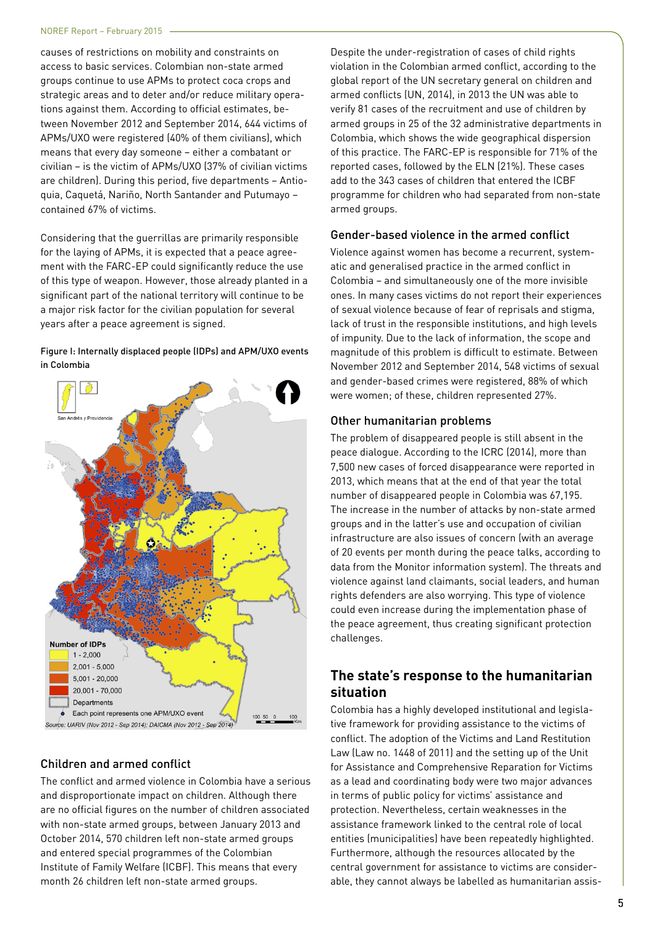causes of restrictions on mobility and constraints on access to basic services. Colombian non-state armed groups continue to use APMs to protect coca crops and strategic areas and to deter and/or reduce military operations against them. According to official estimates, between November 2012 and September 2014, 644 victims of APMs/UXO were registered (40% of them civilians), which means that every day someone – either a combatant or civilian – is the victim of APMs/UXO (37% of civilian victims are children). During this period, five departments – Antioquia, Caquetá, Nariño, North Santander and Putumayo – contained 67% of victims.

Considering that the guerrillas are primarily responsible for the laying of APMs, it is expected that a peace agreement with the FARC-EP could significantly reduce the use of this type of weapon. However, those already planted in a significant part of the national territory will continue to be a major risk factor for the civilian population for several years after a peace agreement is signed.

#### Figure I: Internally displaced people (IDPs) and APM/UXO events in Colombia



### Children and armed conflict

The conflict and armed violence in Colombia have a serious and disproportionate impact on children. Although there are no official figures on the number of children associated with non-state armed groups, between January 2013 and October 2014, 570 children left non-state armed groups and entered special programmes of the Colombian Institute of Family Welfare (ICBF). This means that every month 26 children left non-state armed groups.

Despite the under-registration of cases of child rights violation in the Colombian armed conflict, according to the global report of the UN secretary general on children and armed conflicts (UN, 2014), in 2013 the UN was able to verify 81 cases of the recruitment and use of children by armed groups in 25 of the 32 administrative departments in Colombia, which shows the wide geographical dispersion of this practice. The FARC-EP is responsible for 71% of the reported cases, followed by the ELN (21%). These cases add to the 343 cases of children that entered the ICBF programme for children who had separated from non-state armed groups.

#### Gender-based violence in the armed conflict

Violence against women has become a recurrent, systematic and generalised practice in the armed conflict in Colombia – and simultaneously one of the more invisible ones. In many cases victims do not report their experiences of sexual violence because of fear of reprisals and stigma, lack of trust in the responsible institutions, and high levels of impunity. Due to the lack of information, the scope and magnitude of this problem is difficult to estimate. Between November 2012 and September 2014, 548 victims of sexual and gender-based crimes were registered, 88% of which were women; of these, children represented 27%.

#### Other humanitarian problems

The problem of disappeared people is still absent in the peace dialogue. According to the ICRC (2014), more than 7,500 new cases of forced disappearance were reported in 2013, which means that at the end of that year the total number of disappeared people in Colombia was 67,195. The increase in the number of attacks by non-state armed groups and in the latter's use and occupation of civilian infrastructure are also issues of concern (with an average of 20 events per month during the peace talks, according to data from the Monitor information system). The threats and violence against land claimants, social leaders, and human rights defenders are also worrying. This type of violence could even increase during the implementation phase of the peace agreement, thus creating significant protection challenges.

## **The state's response to the humanitarian situation**

Colombia has a highly developed institutional and legislative framework for providing assistance to the victims of conflict. The adoption of the Victims and Land Restitution Law (Law no. 1448 of 2011) and the setting up of the Unit for Assistance and Comprehensive Reparation for Victims as a lead and coordinating body were two major advances in terms of public policy for victims' assistance and protection. Nevertheless, certain weaknesses in the assistance framework linked to the central role of local entities (municipalities) have been repeatedly highlighted. Furthermore, although the resources allocated by the central government for assistance to victims are considerable, they cannot always be labelled as humanitarian assis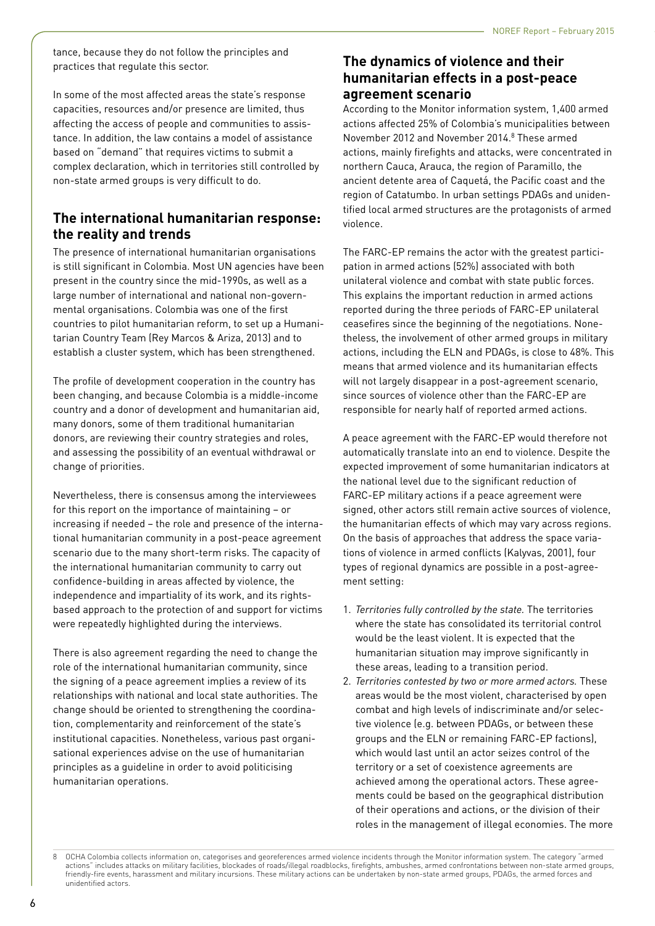tance, because they do not follow the principles and practices that regulate this sector.

In some of the most affected areas the state's response capacities, resources and/or presence are limited, thus affecting the access of people and communities to assistance. In addition, the law contains a model of assistance based on "demand" that requires victims to submit a complex declaration, which in territories still controlled by non-state armed groups is very difficult to do.

## **The international humanitarian response: the reality and trends**

The presence of international humanitarian organisations is still significant in Colombia. Most UN agencies have been present in the country since the mid-1990s, as well as a large number of international and national non-governmental organisations. Colombia was one of the first countries to pilot humanitarian reform, to set up a Humanitarian Country Team (Rey Marcos & Ariza, 2013) and to establish a cluster system, which has been strengthened.

The profile of development cooperation in the country has been changing, and because Colombia is a middle-income country and a donor of development and humanitarian aid, many donors, some of them traditional humanitarian donors, are reviewing their country strategies and roles, and assessing the possibility of an eventual withdrawal or change of priorities.

Nevertheless, there is consensus among the interviewees for this report on the importance of maintaining – or increasing if needed – the role and presence of the international humanitarian community in a post-peace agreement scenario due to the many short-term risks. The capacity of the international humanitarian community to carry out confidence-building in areas affected by violence, the independence and impartiality of its work, and its rightsbased approach to the protection of and support for victims were repeatedly highlighted during the interviews.

There is also agreement regarding the need to change the role of the international humanitarian community, since the signing of a peace agreement implies a review of its relationships with national and local state authorities. The change should be oriented to strengthening the coordination, complementarity and reinforcement of the state's institutional capacities. Nonetheless, various past organisational experiences advise on the use of humanitarian principles as a guideline in order to avoid politicising humanitarian operations.

## **The dynamics of violence and their humanitarian effects in a post-peace agreement scenario**

According to the Monitor information system, 1,400 armed actions affected 25% of Colombia's municipalities between November 2012 and November 2014.<sup>8</sup> These armed actions, mainly firefights and attacks, were concentrated in northern Cauca, Arauca, the region of Paramillo, the ancient detente area of Caquetá, the Pacific coast and the region of Catatumbo. In urban settings PDAGs and unidentified local armed structures are the protagonists of armed violence.

The FARC-EP remains the actor with the greatest participation in armed actions (52%) associated with both unilateral violence and combat with state public forces. This explains the important reduction in armed actions reported during the three periods of FARC-EP unilateral ceasefires since the beginning of the negotiations. Nonetheless, the involvement of other armed groups in military actions, including the ELN and PDAGs, is close to 48%. This means that armed violence and its humanitarian effects will not largely disappear in a post-agreement scenario, since sources of violence other than the FARC-EP are responsible for nearly half of reported armed actions.

A peace agreement with the FARC-EP would therefore not automatically translate into an end to violence. Despite the expected improvement of some humanitarian indicators at the national level due to the significant reduction of FARC-EP military actions if a peace agreement were signed, other actors still remain active sources of violence, the humanitarian effects of which may vary across regions. On the basis of approaches that address the space variations of violence in armed conflicts (Kalyvas, 2001), four types of regional dynamics are possible in a post-agreement setting:

- 1. *Territories fully controlled by the state.* The territories where the state has consolidated its territorial control would be the least violent. It is expected that the humanitarian situation may improve significantly in these areas, leading to a transition period.
- 2. *Territories contested by two or more armed actors.* These areas would be the most violent, characterised by open combat and high levels of indiscriminate and/or selective violence (e.g. between PDAGs, or between these groups and the ELN or remaining FARC-EP factions), which would last until an actor seizes control of the territory or a set of coexistence agreements are achieved among the operational actors. These agreements could be based on the geographical distribution of their operations and actions, or the division of their roles in the management of illegal economies. The more

<sup>8</sup> OCHA Colombia collects information on, categorises and georeferences armed violence incidents through the Monitor information system. The category "armed actions" includes attacks on military facilities, blockades of roads/illegal roadblocks, firefights, ambushes, armed confrontations between non-state armed groups, friendly-fire events, harassment and military incursions. These military actions can be undertaken by non-state armed groups, PDAGs, the armed forces and unidentified actors.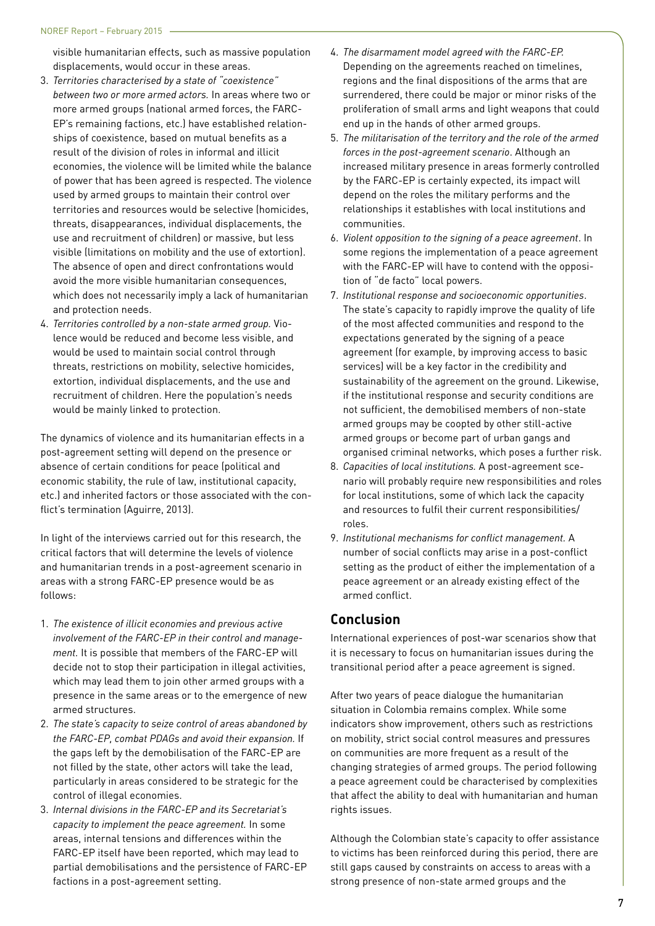visible humanitarian effects, such as massive population displacements, would occur in these areas.

- 3. *Territories characterised by a state of "coexistence" between two or more armed actors.* In areas where two or more armed groups (national armed forces, the FARC-EP's remaining factions, etc.) have established relationships of coexistence, based on mutual benefits as a result of the division of roles in informal and illicit economies, the violence will be limited while the balance of power that has been agreed is respected. The violence used by armed groups to maintain their control over territories and resources would be selective (homicides, threats, disappearances, individual displacements, the use and recruitment of children) or massive, but less visible (limitations on mobility and the use of extortion). The absence of open and direct confrontations would avoid the more visible humanitarian consequences, which does not necessarily imply a lack of humanitarian and protection needs.
- 4. *Territories controlled by a non-state armed group.* Violence would be reduced and become less visible, and would be used to maintain social control through threats, restrictions on mobility, selective homicides, extortion, individual displacements, and the use and recruitment of children. Here the population's needs would be mainly linked to protection.

The dynamics of violence and its humanitarian effects in a post-agreement setting will depend on the presence or absence of certain conditions for peace (political and economic stability, the rule of law, institutional capacity, etc.) and inherited factors or those associated with the conflict's termination (Aguirre, 2013).

In light of the interviews carried out for this research, the critical factors that will determine the levels of violence and humanitarian trends in a post-agreement scenario in areas with a strong FARC-EP presence would be as follows:

- 1. *The existence of illicit economies and previous active involvement of the FARC-EP in their control and management.* It is possible that members of the FARC-EP will decide not to stop their participation in illegal activities, which may lead them to join other armed groups with a presence in the same areas or to the emergence of new armed structures.
- 2. *The state's capacity to seize control of areas abandoned by the FARC-EP, combat PDAGs and avoid their expansion.* If the gaps left by the demobilisation of the FARC-EP are not filled by the state, other actors will take the lead, particularly in areas considered to be strategic for the control of illegal economies.
- 3. *Internal divisions in the FARC-EP and its Secretariat's capacity to implement the peace agreement.* In some areas, internal tensions and differences within the FARC-EP itself have been reported, which may lead to partial demobilisations and the persistence of FARC-EP factions in a post-agreement setting.
- 4. *The disarmament model agreed with the FARC-EP.* Depending on the agreements reached on timelines, regions and the final dispositions of the arms that are surrendered, there could be major or minor risks of the proliferation of small arms and light weapons that could end up in the hands of other armed groups.
- 5. *The militarisation of the territory and the role of the armed forces in the post-agreement scenario*. Although an increased military presence in areas formerly controlled by the FARC-EP is certainly expected, its impact will depend on the roles the military performs and the relationships it establishes with local institutions and communities.
- 6. *Violent opposition to the signing of a peace agreement*. In some regions the implementation of a peace agreement with the FARC-EP will have to contend with the opposition of "de facto" local powers.
- 7. *Institutional response and socioeconomic opportunities*. The state's capacity to rapidly improve the quality of life of the most affected communities and respond to the expectations generated by the signing of a peace agreement (for example, by improving access to basic services) will be a key factor in the credibility and sustainability of the agreement on the ground. Likewise, if the institutional response and security conditions are not sufficient, the demobilised members of non-state armed groups may be coopted by other still-active armed groups or become part of urban gangs and organised criminal networks, which poses a further risk.
- 8. *Capacities of local institutions.* A post-agreement scenario will probably require new responsibilities and roles for local institutions, some of which lack the capacity and resources to fulfil their current responsibilities/ roles.
- 9. *Institutional mechanisms for conflict management.* A number of social conflicts may arise in a post-conflict setting as the product of either the implementation of a peace agreement or an already existing effect of the armed conflict.

## **Conclusion**

International experiences of post-war scenarios show that it is necessary to focus on humanitarian issues during the transitional period after a peace agreement is signed.

After two years of peace dialogue the humanitarian situation in Colombia remains complex. While some indicators show improvement, others such as restrictions on mobility, strict social control measures and pressures on communities are more frequent as a result of the changing strategies of armed groups. The period following a peace agreement could be characterised by complexities that affect the ability to deal with humanitarian and human rights issues.

Although the Colombian state's capacity to offer assistance to victims has been reinforced during this period, there are still gaps caused by constraints on access to areas with a strong presence of non-state armed groups and the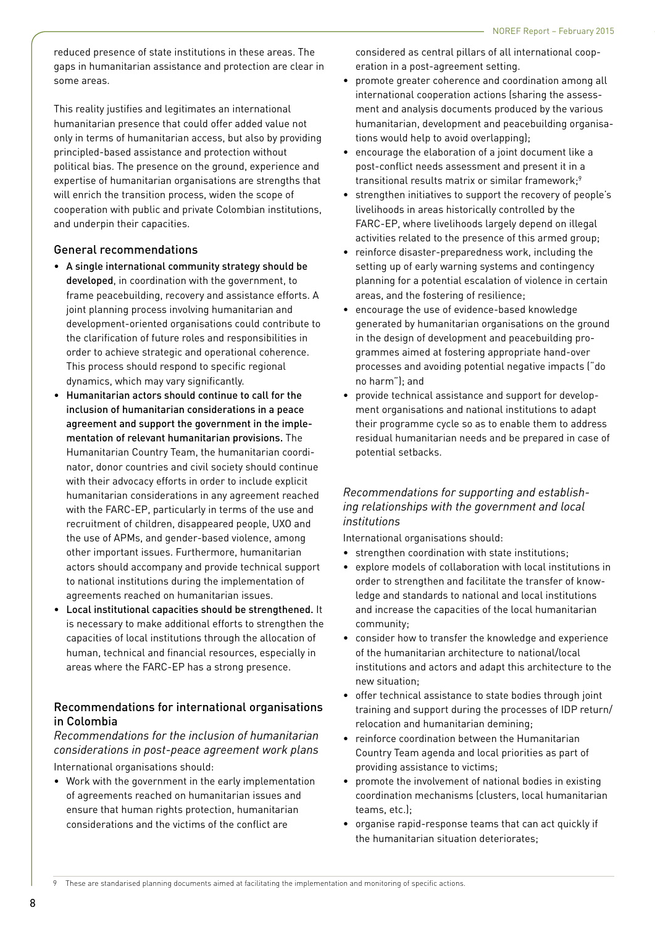reduced presence of state institutions in these areas. The gaps in humanitarian assistance and protection are clear in some areas.

This reality justifies and legitimates an international humanitarian presence that could offer added value not only in terms of humanitarian access, but also by providing principled-based assistance and protection without political bias. The presence on the ground, experience and expertise of humanitarian organisations are strengths that will enrich the transition process, widen the scope of cooperation with public and private Colombian institutions, and underpin their capacities.

#### General recommendations

- A single international community strategy should be developed, in coordination with the government, to frame peacebuilding, recovery and assistance efforts. A joint planning process involving humanitarian and development-oriented organisations could contribute to the clarification of future roles and responsibilities in order to achieve strategic and operational coherence. This process should respond to specific regional dynamics, which may vary significantly.
- Humanitarian actors should continue to call for the inclusion of humanitarian considerations in a peace agreement and support the government in the implementation of relevant humanitarian provisions. The Humanitarian Country Team, the humanitarian coordinator, donor countries and civil society should continue with their advocacy efforts in order to include explicit humanitarian considerations in any agreement reached with the FARC-EP, particularly in terms of the use and recruitment of children, disappeared people, UXO and the use of APMs, and gender-based violence, among other important issues. Furthermore, humanitarian actors should accompany and provide technical support to national institutions during the implementation of agreements reached on humanitarian issues.
- Local institutional capacities should be strengthened. It is necessary to make additional efforts to strengthen the capacities of local institutions through the allocation of human, technical and financial resources, especially in areas where the FARC-EP has a strong presence.

### Recommendations for international organisations in Colombia

*Recommendations for the inclusion of humanitarian considerations in post-peace agreement work plans* International organisations should:

• Work with the government in the early implementation of agreements reached on humanitarian issues and ensure that human rights protection, humanitarian considerations and the victims of the conflict are

considered as central pillars of all international cooperation in a post-agreement setting.

- promote greater coherence and coordination among all international cooperation actions (sharing the assessment and analysis documents produced by the various humanitarian, development and peacebuilding organisations would help to avoid overlapping);
- encourage the elaboration of a joint document like a post-conflict needs assessment and present it in a transitional results matrix or similar framework;<sup>9</sup>
- strengthen initiatives to support the recovery of people's livelihoods in areas historically controlled by the FARC-EP, where livelihoods largely depend on illegal activities related to the presence of this armed group;
- reinforce disaster-preparedness work, including the setting up of early warning systems and contingency planning for a potential escalation of violence in certain areas, and the fostering of resilience;
- encourage the use of evidence-based knowledge generated by humanitarian organisations on the ground in the design of development and peacebuilding programmes aimed at fostering appropriate hand-over processes and avoiding potential negative impacts ("do no harm"); and
- provide technical assistance and support for development organisations and national institutions to adapt their programme cycle so as to enable them to address residual humanitarian needs and be prepared in case of potential setbacks.

## *Recommendations for supporting and establishing relationships with the government and local institutions*

International organisations should:

- strengthen coordination with state institutions;
- explore models of collaboration with local institutions in order to strengthen and facilitate the transfer of knowledge and standards to national and local institutions and increase the capacities of the local humanitarian community;
- consider how to transfer the knowledge and experience of the humanitarian architecture to national/local institutions and actors and adapt this architecture to the new situation;
- offer technical assistance to state bodies through joint training and support during the processes of IDP return/ relocation and humanitarian demining;
- reinforce coordination between the Humanitarian Country Team agenda and local priorities as part of providing assistance to victims;
- promote the involvement of national bodies in existing coordination mechanisms (clusters, local humanitarian teams, etc.);
- organise rapid-response teams that can act quickly if the humanitarian situation deteriorates;

These are standarised planning documents aimed at facilitating the implementation and monitoring of specific actions.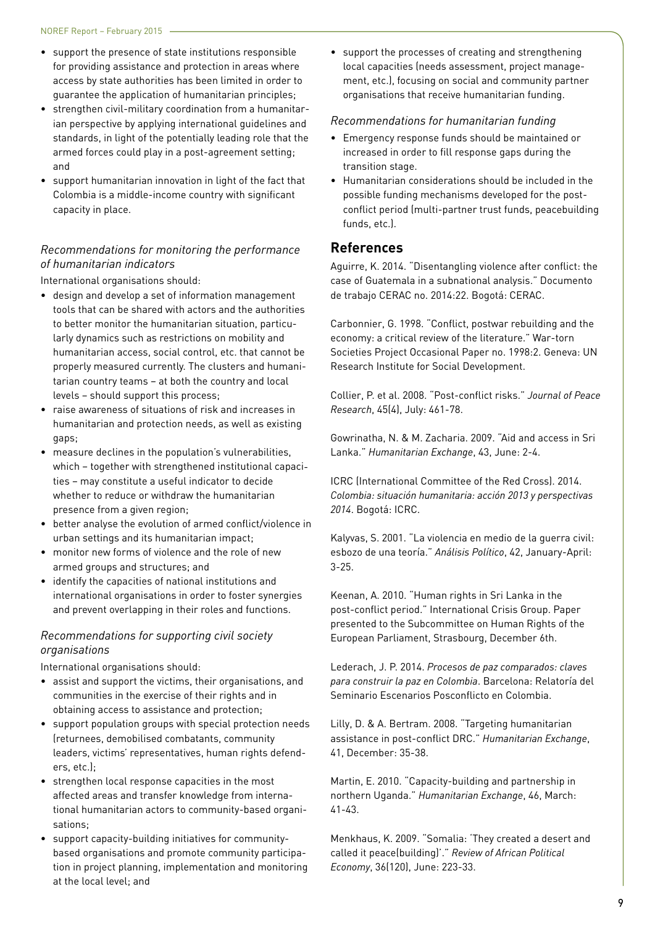- support the presence of state institutions responsible for providing assistance and protection in areas where access by state authorities has been limited in order to guarantee the application of humanitarian principles;
- strengthen civil-military coordination from a humanitarian perspective by applying international guidelines and standards, in light of the potentially leading role that the armed forces could play in a post-agreement setting; and
- support humanitarian innovation in light of the fact that Colombia is a middle-income country with significant capacity in place.

## *Recommendations for monitoring the performance of humanitarian indicators*

International organisations should:

- design and develop a set of information management tools that can be shared with actors and the authorities to better monitor the humanitarian situation, particularly dynamics such as restrictions on mobility and humanitarian access, social control, etc. that cannot be properly measured currently. The clusters and humanitarian country teams – at both the country and local levels – should support this process;
- raise awareness of situations of risk and increases in humanitarian and protection needs, as well as existing gaps;
- measure declines in the population's vulnerabilities, which – together with strengthened institutional capacities – may constitute a useful indicator to decide whether to reduce or withdraw the humanitarian presence from a given region;
- better analyse the evolution of armed conflict/violence in urban settings and its humanitarian impact;
- monitor new forms of violence and the role of new armed groups and structures; and
- identify the capacities of national institutions and international organisations in order to foster synergies and prevent overlapping in their roles and functions.

### *Recommendations for supporting civil society organisations*

International organisations should:

- assist and support the victims, their organisations, and communities in the exercise of their rights and in obtaining access to assistance and protection;
- support population groups with special protection needs (returnees, demobilised combatants, community leaders, victims' representatives, human rights defenders, etc.);
- strengthen local response capacities in the most affected areas and transfer knowledge from international humanitarian actors to community-based organisations;
- support capacity-building initiatives for communitybased organisations and promote community participation in project planning, implementation and monitoring at the local level; and

• support the processes of creating and strengthening local capacities (needs assessment, project management, etc.), focusing on social and community partner organisations that receive humanitarian funding.

#### *Recommendations for humanitarian funding*

- Emergency response funds should be maintained or increased in order to fill response gaps during the transition stage.
- Humanitarian considerations should be included in the possible funding mechanisms developed for the postconflict period (multi-partner trust funds, peacebuilding funds, etc.).

## **References**

Aguirre, K. 2014. "Disentangling violence after conflict: the case of Guatemala in a subnational analysis." Documento de trabajo CERAC no. 2014:22. Bogotá: CERAC.

Carbonnier, G. 1998. "Conflict, postwar rebuilding and the economy: a critical review of the literature." War-torn Societies Project Occasional Paper no. 1998:2. Geneva: UN Research Institute for Social Development.

Collier, P. et al. 2008. "Post-conflict risks." *Journal of Peace Research*, 45(4), July: 461-78.

Gowrinatha, N. & M. Zacharia. 2009. "Aid and access in Sri Lanka." *Humanitarian Exchange*, 43, June: 2-4.

ICRC (International Committee of the Red Cross). 2014. *Colombia: situación humanitaria: acción 2013 y perspectivas 2014*. Bogotá: ICRC.

Kalyvas, S. 2001. "La violencia en medio de la guerra civil: esbozo de una teoría." *Análisis Político*, 42, January-April: 3-25.

Keenan, A. 2010. "Human rights in Sri Lanka in the post-conflict period." International Crisis Group. Paper presented to the Subcommittee on Human Rights of the European Parliament, Strasbourg, December 6th.

Lederach, J. P. 2014. *Procesos de paz comparados: claves para construir la paz en Colombia*. Barcelona: Relatoría del Seminario Escenarios Posconflicto en Colombia.

Lilly, D. & A. Bertram. 2008. "Targeting humanitarian assistance in post-conflict DRC." *Humanitarian Exchange*, 41, December: 35-38.

Martin, E. 2010. "Capacity-building and partnership in northern Uganda." *Humanitarian Exchange*, 46, March: 41-43.

Menkhaus, K. 2009. "Somalia: 'They created a desert and called it peace(building)'." *Review of African Political Economy*, 36(120), June: 223-33.